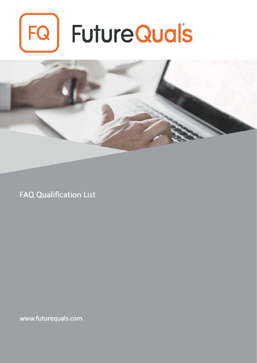# $FQ$ **FutureQuals**



**FAQ Qualification List** 

www.futurequals.com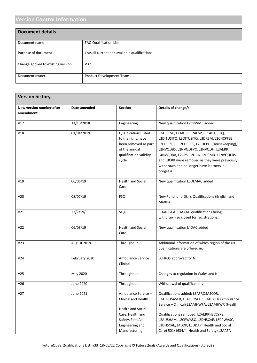# **Version Control Information**

| <b>Document details</b>            |                                                |
|------------------------------------|------------------------------------------------|
| Document name                      | <b>FAQ Qualification List</b>                  |
| Purpose of document                | Lists all current and available qualifications |
| Change applied to existing version | V <sub>32</sub>                                |
| Document owner                     | <b>Product Development Team</b>                |

| <b>Version history</b>                       |               |                                                                                                                                                      |                                                                                                                                                                                                                                                                                                                                        |
|----------------------------------------------|---------------|------------------------------------------------------------------------------------------------------------------------------------------------------|----------------------------------------------------------------------------------------------------------------------------------------------------------------------------------------------------------------------------------------------------------------------------------------------------------------------------------------|
| <b>New version number after</b><br>amendment | Date amended  | <b>Section</b>                                                                                                                                       | Details of change/s                                                                                                                                                                                                                                                                                                                    |
| V17                                          | 11/10/2018    | Engineering                                                                                                                                          | New qualification L2CPWME added                                                                                                                                                                                                                                                                                                        |
| V18                                          | 01/04/2019    | <b>Qualifications listed</b><br>to the right, have<br>been removed as part<br>of the annual<br>qualification validity<br>cycle                       | L2AEPLSH, L1AIFSP, L2AFSPS, L1AITUSITQ,<br>L2DITUSITQ, L3DITUSITQ, L3DRSM, L2CHCPFBS,<br>L2CHCPFPC, L2CHCPFS, L2CHCPH (Housekeeping),<br>L2NVQDBS, L2NVQDFPC, L2NVQDH, L2AERR,<br>L4NVQDBA, L2CPS, L2DBA, L3DSMB. L2NVQDFBS<br>and L3CRK were removed as they were previously<br>withdrawn and no longer have learners in<br>progress. |
| V19                                          | 06/06/19      | <b>Health and Social</b><br>Care                                                                                                                     | New qualification L5DLMAC added                                                                                                                                                                                                                                                                                                        |
| V20                                          | 08/07/19      | <b>FSQ</b>                                                                                                                                           | New Functional Skills Qualifications (English and<br>Maths)                                                                                                                                                                                                                                                                            |
| V21                                          | 23/7/19/      | SQA                                                                                                                                                  | SL6APFA & SQAAAD qualifications being<br>withdrawn so closed for registrations.                                                                                                                                                                                                                                                        |
| V <sub>22</sub>                              | 06/08/19      | <b>Health and Social</b><br>Care                                                                                                                     | New qualification L4DAC added                                                                                                                                                                                                                                                                                                          |
| V <sub>23</sub>                              | August 2019   | Throughout                                                                                                                                           | Additional information of which region of the UK<br>qualifications are offered in.                                                                                                                                                                                                                                                     |
| V24                                          | February 2020 | Ambulance Service<br>Clinical                                                                                                                        | <b>LCFROS approved for NI</b>                                                                                                                                                                                                                                                                                                          |
| V25                                          | May 2020      | Throughout                                                                                                                                           | Changes to regulation in Wales and NI                                                                                                                                                                                                                                                                                                  |
| V26                                          | June 2020     | Throughout                                                                                                                                           | Withdrawal of qualifications                                                                                                                                                                                                                                                                                                           |
| V <sub>27</sub>                              | June 2021     | Ambulance Service -<br><b>Clinical and Health</b><br>Health and Social<br>Care, Health and<br>Safety, First Aid,<br>Engineering and<br>Manufacturing | Qualifications added: L3AFROSASCOR,<br>L3AFROSASCR, L3AFROSEFR, L3AIECFR (Ambulance<br>Service - Clinical) L3AMHWFA, L2AMHWR (Health)<br>Qualifications removed: L2AERRHSCCYPS,<br>L2AUSHAM, L2CPWASC, L2DHSCAE, L3CPWASC,<br>L3DHSCAE, L4DDP, L5DDAP (Health and Social<br>Care) 501/1634/4 (Health and Safety) L2AAFA                |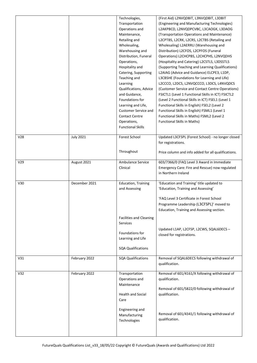|                 |                  | Technologies,                  | (First Aid) L2NVQDBIT, L3NVQDBIT, L3DBIT            |
|-----------------|------------------|--------------------------------|-----------------------------------------------------|
|                 |                  | Transportation                 | (Engineering and Manufacturing Technologies)        |
|                 |                  | Operations and                 | L2AKPBCD, L2NVQDPCVBC, L3CAOGK, L3DAOG              |
|                 |                  | Maintenance,                   | (Transportation Operations and Maintenance)         |
|                 |                  | Retailing and                  | L2CPTBS, L2CRK, L2CRS, L2CTBS (Retailing and        |
|                 |                  | Wholesaling,                   | Wholesaling) L2AERRLI (Warehousing and              |
|                 |                  | Warehousing and                | Distribution) L2CFOS, L2CPFOS (Funeral              |
|                 |                  | Distribution, Funeral          | Operations) L2CHCPBS, L2CHCPHS, L2NVQDHS            |
|                 |                  | Operations,                    | (Hospitality and Catering) L2CSTLS, L3DSSTLS        |
|                 |                  | Hospitality and                | (Supporting Teaching and Learning Qualifications)   |
|                 |                  | Catering, Supporting           | L2AIAG (Advice and Guidance) ELCPE3, L1DP,          |
|                 |                  | Teaching and                   | L3CBSHE (Foundations for Learning and Life)         |
|                 |                  | Learning                       | L2CCCO, L2DCS, L2NVQCCCO, L3DCS, L4NVQDCS           |
|                 |                  | Qualifications, Advice         | (Customer Service and Contact Centre Operations)    |
|                 |                  | and Guidance,                  | FSICTL1 (Level 1 Functional Skills in ICT) FSICTL2  |
|                 |                  | Foundations for                | (Level 2 Functional Skills in ICT) FSEL1 (Level 1   |
|                 |                  | Learning and Life,             | Functional Skills in English) FSEL2 (Level 2        |
|                 |                  | Customer Service and           | Functional Skills in English) FSML1 (Level 1        |
|                 |                  | <b>Contact Centre</b>          | Functional Skills in Maths) FSML2 (Level 2          |
|                 |                  | Operations,                    | <b>Functional Skills in Maths)</b>                  |
|                 |                  | <b>Functional Skills</b>       |                                                     |
| V <sub>28</sub> | <b>July 2021</b> | <b>Forest School</b>           | Updated L3CFSPL (Forest School) - no longer closed  |
|                 |                  |                                | for registrations.                                  |
|                 |                  |                                |                                                     |
|                 |                  | Throughout                     | Price column and info added for all qualifications. |
|                 |                  |                                |                                                     |
| V29             | August 2021      | Ambulance Service              | 603/7366/0 (FAQ Level 3 Award in Immediate          |
|                 |                  | Clinical                       | Emergency Care: Fire and Rescue) now regulated      |
|                 |                  |                                | in Northern Ireland                                 |
| V30             | December 2021    | <b>Education, Training</b>     | 'Education and Training' title updated to           |
|                 |                  | and Assessing                  | 'Education, Training and Assessing'                 |
|                 |                  |                                |                                                     |
|                 |                  |                                | 'FAQ Level 3 Certificate in Forest School           |
|                 |                  |                                | Programme Leadership (L3CFSPL)' moved to            |
|                 |                  |                                | Education, Training and Assessing section.          |
|                 |                  |                                |                                                     |
|                 |                  | <b>Facilities and Cleaning</b> |                                                     |
|                 |                  | <b>Services</b>                |                                                     |
|                 |                  | Foundations for                | Updated L1AP, L2CFSP, L2CWS, SQAL6DECS -            |
|                 |                  | Learning and Life              | closed for registrations.                           |
|                 |                  |                                |                                                     |
|                 |                  | <b>SQA Qualifications</b>      |                                                     |
|                 |                  |                                |                                                     |
| V31             | February 2022    | <b>SQA Qualifications</b>      | Removal of SQAL6DECS following withdrawal of        |
|                 |                  |                                | qualification.                                      |
| V <sub>32</sub> | February 2022    | Transportation                 | Removal of 601/4161/X following withdrawal of       |
|                 |                  | Operations and                 | qualification.                                      |
|                 |                  | Maintenance                    |                                                     |
|                 |                  |                                | Removal of 601/5822/0 following withdrawal of       |
|                 |                  | <b>Health and Social</b>       | qualification.                                      |
|                 |                  | Care                           |                                                     |
|                 |                  |                                |                                                     |
|                 |                  | Engineering and                |                                                     |
|                 |                  | Manufacturing                  | Removal of 601/4341/1 following withdrawal of       |
|                 |                  |                                |                                                     |
|                 |                  | Technologies                   | qualification.                                      |
|                 |                  |                                |                                                     |
|                 |                  |                                |                                                     |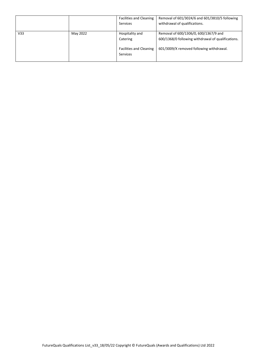|                 |          | <b>Facilities and Cleaning</b>                    | Removal of 601/3024/6 and 601/3810/5 following     |
|-----------------|----------|---------------------------------------------------|----------------------------------------------------|
|                 |          | <b>Services</b>                                   | withdrawal of qualifications.                      |
|                 |          |                                                   |                                                    |
| V <sub>33</sub> | May 2022 | Hospitality and                                   | Removal of 600/1306/0, 600/1367/9 and              |
|                 |          | Catering                                          | 600/1368/0 following withdrawal of qualifications. |
|                 |          | <b>Facilities and Cleaning</b><br><b>Services</b> | 601/3009/X removed following withdrawal.           |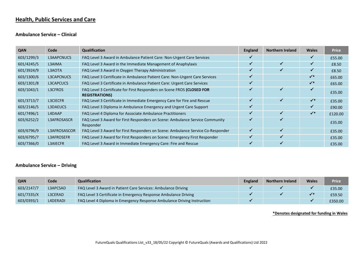## **Health, Public Services and Care**

#### **Ambulance Service – Clinical**

| <b>QAN</b> | Code               | Qualification                                                                                  | <b>England</b> | <b>Northern Ireland</b> | <b>Wales</b>   | <b>Price</b> |
|------------|--------------------|------------------------------------------------------------------------------------------------|----------------|-------------------------|----------------|--------------|
| 603/1299/3 | <b>L3AAPCNUCS</b>  | FAQ Level 3 Award in Ambulance Patient Care: Non-Urgent Care Services                          |                |                         |                | £55.00       |
| 601/4245/5 | L3AIMA             | FAQ Level 3 Award in the Immediate Management of Anaphylaxis                                   |                |                         |                | £8.50        |
| 601/3924/9 | L3AOTA             | FAQ Level 3 Award in Oxygen Therapy Administration                                             | ✔              |                         |                | £8.50        |
| 603/1300/6 | L3CAPCNUCS         | FAQ Level 3 Certificate in Ambulance Patient Care: Non-Urgent Care Services                    |                |                         | $\checkmark^*$ | £65.00       |
| 603/1301/8 | L3CAPCUCS          | FAQ Level 3 Certificate in Ambulance Patient Care: Urgent Care Services                        |                |                         | $\checkmark^*$ | £65.00       |
| 603/1043/1 | L3CFROS            | FAQ Level 3 Certificate for First Responders on Scene FROS (CLOSED FOR<br><b>REGISTRATIONS</b> |                |                         |                | £35.00       |
| 601/3713/7 | <b>L3CIECFR</b>    | FAQ Level 3 Certificate in Immediate Emergency Care for Fire and Rescue                        | ✔              |                         | $\checkmark^*$ | £35.00       |
| 603/2146/5 | L3DAEUCS           | FAQ Level 3 Diploma in Ambulance Emergency and Urgent Care Support                             |                |                         |                | £90.00       |
| 601/7496/1 | L4DAAP             | FAQ Level 4 Diploma for Associate Ambulance Practitioners                                      |                |                         | $\checkmark^*$ | £120.00      |
| 603/6252/2 | <b>L3AFROSASCR</b> | FAQ Level 3 Award for First Responders on Scene: Ambulance Service Community<br>Responder      |                |                         |                | £35.00       |
| 603/6796/9 | L3AFROSASCOR       | FAQ Level 3 Award for First Responders on Scene: Ambulance Service Co-Responder                |                |                         |                | £35.00       |
| 603/6795/7 | L3AFROSEFR         | FAQ Level 3 Award for First Responders on Scene: Emergency First Responder                     |                |                         |                | £35.00       |
| 603/7366/0 | <b>L3AIECFR</b>    | FAQ Level 3 Award in Immediate Emergency Care: Fire and Rescue                                 |                |                         |                | £35.00       |

#### **Ambulance Service – Driving**

| <b>QAN</b> | Code     | <b>Qualification</b>                                                    | <b>England</b> | <b>Northern Ireland</b> | <b>Wales</b> | <b>Price</b> |
|------------|----------|-------------------------------------------------------------------------|----------------|-------------------------|--------------|--------------|
| 603/2147/7 | L3APCSAD | FAQ Level 3 Award in Patient Care Services: Ambulance Driving           |                |                         |              | £35.00       |
| 601/7335/X | L3CERAD  | FAQ Level 3 Certificate in Emergency Response Ambulance Driving         |                |                         | $\sqrt{}$    | £59.50       |
| 603/0393/1 | L4DERADI | FAQ Level 4 Diploma in Emergency Response Ambulance Driving Instruction |                |                         |              | £350.00      |

**\*Denotes designated for funding in Wales**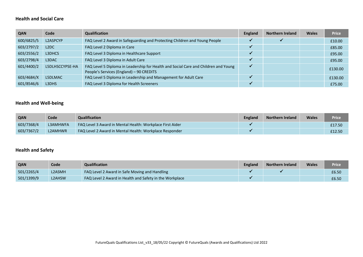#### **Health and Social Care**

| <b>QAN</b> | Code              | <b>Qualification</b>                                                                                                            | <b>England</b> | <b>Northern Ireland</b> | <b>Wales</b> | <b>Price</b> |
|------------|-------------------|---------------------------------------------------------------------------------------------------------------------------------|----------------|-------------------------|--------------|--------------|
| 600/6825/5 | L2ASPCYP          | FAQ Level 2 Award in Safeguarding and Protecting Children and Young People                                                      |                |                         |              | £10.00       |
| 603/2797/2 | L <sub>2</sub> DC | FAQ Level 2 Diploma in Care                                                                                                     |                |                         |              | £85.00       |
| 603/2556/2 | L3DHCS            | FAQ Level 3 Diploma in Healthcare Support                                                                                       |                |                         |              | £95.00       |
| 603/2798/4 | L3DAC             | FAQ Level 3 Diploma in Adult Care                                                                                               |                |                         |              | £95.00       |
| 601/4400/2 | L5DLHSCCYPSE-HA   | FAQ Level 5 Diploma in Leadership for Health and Social Care and Children and Young<br>People's Services (England) - 90 CREDITS | ✔              |                         |              | £130.00      |
| 603/4684/X | L5DLMAC           | FAQ Level 5 Diploma in Leadership and Management for Adult Care                                                                 |                |                         |              | £130.00      |
| 601/8546/6 | L3DHS             | FAQ Level 3 Diploma for Health Screeners                                                                                        |                |                         |              | £75.00       |

#### **Health and Well-being**

| QAN        | Code     | <b>Qualification</b>                                      | England | <b>Northern Ireland</b> | <b>Wales</b> | <b>Price</b> |
|------------|----------|-----------------------------------------------------------|---------|-------------------------|--------------|--------------|
| 603/7368/4 | L3AMHWFA | FAQ Level 3 Award in Mental Health: Workplace First Aider |         |                         |              | £17.50       |
| 603/7367/2 | L2AMHWR  | FAQ Level 2 Award in Mental Health: Workplace Responder   |         |                         |              | £12.50       |

## **Health and Safety**

| QAN        | Code   | Qualification                                           | <b>England</b> | <b>Northern Ireland</b> | <b>Wales</b> | Price |
|------------|--------|---------------------------------------------------------|----------------|-------------------------|--------------|-------|
| 501/2265/4 | L2ASMH | FAQ Level 2 Award in Safe Moving and Handling           |                |                         |              | £6.50 |
| 501/1399/9 | L2AHSW | FAQ Level 2 Award in Health and Safety in the Workplace |                |                         |              | £6.50 |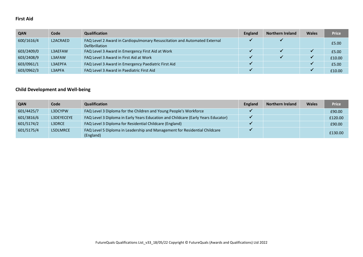#### **First Aid**

| <b>QAN</b> | Code     | <b>Qualification</b>                                                                               | <b>England</b> | <b>Northern Ireland</b> | <b>Wales</b> | <b>Price</b> |
|------------|----------|----------------------------------------------------------------------------------------------------|----------------|-------------------------|--------------|--------------|
| 600/1616/4 | L2ACRAED | FAQ Level 2 Award in Cardiopulmonary Resuscitation and Automated External<br><b>Defibrillation</b> |                |                         |              | £5.00        |
| 603/2409/0 | L3AEFAW  | FAQ Level 3 Award in Emergency First Aid at Work                                                   |                |                         |              | £5.00        |
| 603/2408/9 | L3AFAW   | FAQ Level 3 Award in First Aid at Work                                                             |                |                         |              | £10.00       |
| 603/0961/1 | L3AEPFA  | FAQ Level 3 Award in Emergency Paediatric First Aid                                                |                |                         |              | £5.00        |
| 603/0962/3 | L3APFA   | FAQ Level 3 Award in Paediatric First Aid                                                          |                |                         |              | £10.00       |

## **Child Development and Well-being**

| <b>QAN</b> | Code       | <b>Qualification</b>                                                                    | England | <b>Northern Ireland</b> | <b>Wales</b> | <b>Price</b> |
|------------|------------|-----------------------------------------------------------------------------------------|---------|-------------------------|--------------|--------------|
| 601/4425/7 | L3DCYPW    | FAQ Level 3 Diploma for the Children and Young People's Workforce                       |         |                         |              | £90.00       |
| 601/3816/6 | L3DEYECEYE | FAQ Level 3 Diploma in Early Years Education and Childcare (Early Years Educator)       |         |                         |              | £120.00      |
| 601/5174/2 | L3DRCE     | FAQ Level 3 Diploma for Residential Childcare (England)                                 |         |                         |              | £90.00       |
| 601/5175/4 | L5DLMRCE   | FAQ Level 5 Diploma in Leadership and Management for Residential Childcare<br>(England) |         |                         |              | £130.00      |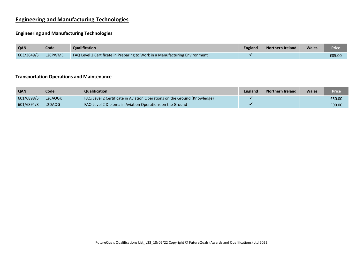## **Engineering and Manufacturing Technologies**

#### **Engineering and Manufacturing Technologies**

| QAN        | Code    | <b>Qualification</b>                                                        | <b>England</b> | <b>Northern Ireland</b> | <b>Wales</b> | Price  |
|------------|---------|-----------------------------------------------------------------------------|----------------|-------------------------|--------------|--------|
| 603/3649/3 | L2CPWME | FAQ Level 2 Certificate in Preparing to Work in a Manufacturing Environment |                |                         |              | £85.00 |

#### **Transportation Operations and Maintenance**

| QAN        | Code    | Qualification                                                            | <b>England</b> | <b>Northern Ireland</b> | Wales | Price  |
|------------|---------|--------------------------------------------------------------------------|----------------|-------------------------|-------|--------|
| 601/6898/5 | L2CAOGK | FAQ Level 2 Certificate in Aviation Operations on the Ground (Knowledge) |                |                         |       | £50.00 |
| 601/6894/8 | L2DAOG  | <b>FAQ Level 2 Diploma in Aviation Operations on the Ground</b>          |                |                         |       | £90.00 |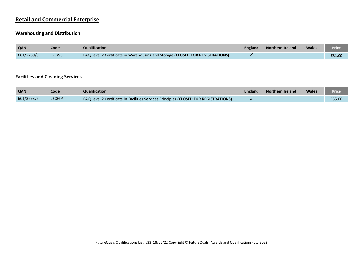## **Retail and Commercial Enterprise**

#### **Warehousing and Distribution**

| QAN        | Code                           | <b>Qualification</b>                                                          | England | <b>Northern Ireland</b> | <b>Wales</b> | Price  |
|------------|--------------------------------|-------------------------------------------------------------------------------|---------|-------------------------|--------------|--------|
| 601/2269/9 | L <sub>2</sub> CW <sub>S</sub> | FAQ Level 2 Certificate in Warehousing and Storage (CLOSED FOR REGISTRATIONS) |         |                         |              | £81.00 |

#### **Facilities and Cleaning Services**

| <b>QAN</b> | Code                            | <b>Qualification</b>                                                                 | England | <b>Northern Ireland</b> | <b>Wales</b> | <b>Price</b> |
|------------|---------------------------------|--------------------------------------------------------------------------------------|---------|-------------------------|--------------|--------------|
| 601/3693/5 | L <sub>2</sub> CF <sub>SP</sub> | FAQ Level 2 Certificate in Facilities Services Principles (CLOSED FOR REGISTRATIONS) |         |                         |              | £65.00       |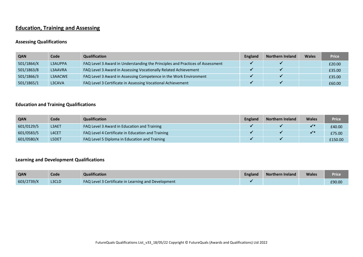## **Education, Training and Assessing**

#### **Assessing Qualifications**

| <b>QAN</b> | Code    | <b>Qualification</b>                                                          | England | <b>Northern Ireland</b> | <b>Wales</b> | <b>Price</b> |
|------------|---------|-------------------------------------------------------------------------------|---------|-------------------------|--------------|--------------|
| 501/1864/X | L3AUPPA | FAQ Level 3 Award in Understanding the Principles and Practices of Assessment |         |                         |              | £20.00       |
| 501/1863/8 | L3AAVRA | FAQ Level 3 Award in Assessing Vocationally Related Achievement               |         |                         |              | £35.00       |
| 501/1866/3 | L3AACWE | FAQ Level 3 Award in Assessing Competence in the Work Environment             |         |                         |              | £35.00       |
| 501/1865/1 | L3CAVA  | FAQ Level 3 Certificate in Assessing Vocational Achievement                   |         |                         |              | £60.00       |

#### **Education and Training Qualifications**

| <b>QAN</b> | Code         | <b>Qualification</b>                              | <b>England</b> | <b>Northern Ireland</b> | <b>Wales</b>                | <b>Price</b> |
|------------|--------------|---------------------------------------------------|----------------|-------------------------|-----------------------------|--------------|
| 601/0129/5 | <b>L3AET</b> | FAQ Level 3 Award in Education and Training       |                |                         | $\mathcal{L}^*$             | £40.00       |
| 601/0583/5 | L4CET        | FAQ Level 4 Certificate in Education and Training |                |                         | $\mathcal{L}^{\mathcal{G}}$ | £75.00       |
| 601/0580/X | <b>L5DET</b> | FAQ Level 5 Diploma in Education and Training     |                |                         |                             | £150.00      |

#### **Learning and Development Qualifications**

| QAN        | Code  | <b>Qualification</b>                                | <b>England</b> | <b>Northern Ireland</b> | <b>Wales</b> | Price  |
|------------|-------|-----------------------------------------------------|----------------|-------------------------|--------------|--------|
| 603/2739/X | L3CLD | FAQ Level 3 Certificate in Learning and Development |                |                         |              | £90.00 |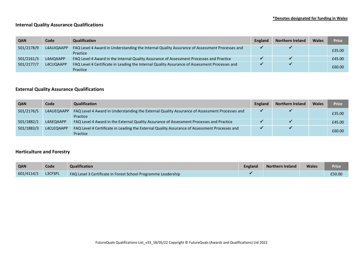#### **Internal Quality Assurance Qualifications**

| <b>QAN</b> | Code       | <b>Qualification</b>                                                                                      | England | <b>Northern Ireland</b> | <b>Wales</b> | <b>Price</b> |
|------------|------------|-----------------------------------------------------------------------------------------------------------|---------|-------------------------|--------------|--------------|
| 501/2178/9 | L4AUIQAAPP | FAQ Level 4 Award in Understanding the Internal Quality Assurance of Assessment Processes and<br>Practice |         |                         |              | £35.00       |
| 501/2161/3 | L4AIQAAPP  | FAQ Level 4 Award in the Internal Quality Assurance of Assessment Processes and Practice                  |         |                         |              | £45.00       |
| 501/2177/7 | L4CLIQAAPP | FAQ Level 4 Certificate in Leading the Internal Quality Assurance of Assessment Processes and<br>Practice |         |                         |              | £60.00       |

#### **External Quality Assurance Qualifications**

| <b>QAN</b> | Code       | <b>Qualification</b>                                                                                      | <b>England</b> | <b>Northern Ireland</b> | <b>Wales</b> | <b>Price</b> |
|------------|------------|-----------------------------------------------------------------------------------------------------------|----------------|-------------------------|--------------|--------------|
| 501/2176/5 | L4AUEQAAPP | FAQ Level 4 Award in Understanding the External Quality Assurance of Assessment Processes and<br>Practice |                |                         |              | £35.00       |
| 501/1882/1 | L4AEQAAPP  | FAQ Level 4 Award in the External Quality Assurance of Assessment Processes and Practice                  |                |                         |              | £45.00       |
| 501/1883/3 | L4CLEQAAPP | FAQ Level 4 Certificate in Leading the External Quality Assurance of Assessment Processes and<br>Practice |                |                         |              | £60.00       |

#### **Horticulture and Forestry**

| QAN        | Code           | Qualification                                                 | <b>England</b> | <b>Northern Ireland</b> | <b>Wales</b> | Price  |
|------------|----------------|---------------------------------------------------------------|----------------|-------------------------|--------------|--------|
| 601/4114/1 | <b>L3CFSPL</b> | FAQ Level 3 Certificate in Forest School Programme Leadership |                |                         |              | £50.00 |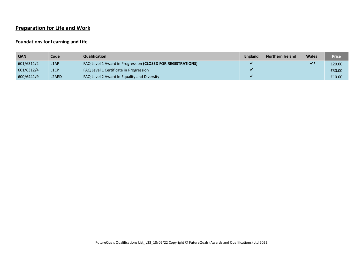# **Preparation for Life and Work**

#### **Foundations for Learning and Life**

| <b>QAN</b> | Code               | <b>Qualification</b>                                        | England | <b>Northern Ireland</b> | <b>Wales</b> | <b>Price</b> |
|------------|--------------------|-------------------------------------------------------------|---------|-------------------------|--------------|--------------|
| 601/6311/2 | L <sub>1</sub> AP  | FAQ Level 1 Award in Progression (CLOSED FOR REGISTRATIONS) |         |                         |              | £20.00       |
| 601/6312/4 | L <sub>1</sub> CP  | FAQ Level 1 Certificate in Progression                      |         |                         |              | £30.00       |
| 600/6441/9 | L <sub>2</sub> AED | FAQ Level 2 Award in Equality and Diversity                 |         |                         |              | £10.00       |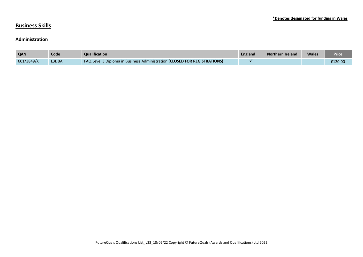## **Business Skills**

#### **Administration**

| <b>QAN</b> | Code         | <b>Qualification</b>                                                             | England | Northern Ireland | <b>Wales</b> | Price   |
|------------|--------------|----------------------------------------------------------------------------------|---------|------------------|--------------|---------|
| 601/3849/X | <b>L3DBA</b> | <b>FAQ Level 3 Diploma in Business Administration (CLOSED FOR REGISTRATIONS)</b> |         |                  |              | £120.00 |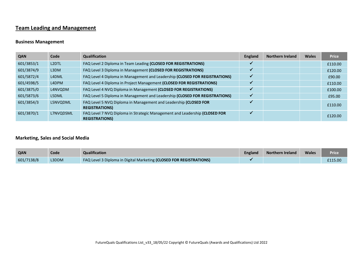# **Team Leading and Management**

#### **Business Management**

| <b>QAN</b> | Code               | <b>Qualification</b>                                                                               | <b>England</b> | <b>Northern Ireland</b> | <b>Wales</b> | <b>Price</b> |
|------------|--------------------|----------------------------------------------------------------------------------------------------|----------------|-------------------------|--------------|--------------|
| 601/3853/1 | L <sub>2</sub> DTL | FAQ Level 2 Diploma in Team Leading (CLOSED FOR REGISTRATIONS)                                     |                |                         |              | £110.00      |
| 601/3874/9 | L3DM               | FAQ Level 3 Diploma in Management (CLOSED FOR REGISTRATIONS)                                       |                |                         |              | £120.00      |
| 601/5872/4 | L4DML              | FAQ Level 4 Diploma in Management and Leadership (CLOSED FOR REGISTRATIONS)                        | ✔              |                         |              | £90.00       |
| 601/4598/5 | L4DPM              | FAQ Level 4 Diploma in Project Management (CLOSED FOR REGISTRATIONS)                               |                |                         |              | £110.00      |
| 601/3875/0 | L4NVQDM            | FAQ Level 4 NVQ Diploma in Management (CLOSED FOR REGISTRATIONS)                                   |                |                         |              | £100.00      |
| 601/5873/6 | L5DML              | FAQ Level 5 Diploma in Management and Leadership (CLOSED FOR REGISTRATIONS)                        |                |                         |              | £95.00       |
| 601/3854/3 | L5NVQDML           | FAQ Level 5 NVQ Diploma in Management and Leadership (CLOSED FOR<br><b>REGISTRATIONS)</b>          |                |                         |              | £110.00      |
| 601/3870/1 | L7NVQDSML          | FAQ Level 7 NVQ Diploma in Strategic Management and Leadership (CLOSED FOR<br><b>REGISTRATIONS</b> | w              |                         |              | £120.00      |

#### **Marketing, Sales and Social Media**

| QAN        | Code  | <b>Qualification</b>                                                | <b>England</b> | <b>Northern Ireland</b> | <b>Wales</b> | <b>Price</b> |
|------------|-------|---------------------------------------------------------------------|----------------|-------------------------|--------------|--------------|
| 601/7138/8 | L3DDM | FAQ Level 3 Diploma in Digital Marketing (CLOSED FOR REGISTRATIONS) |                |                         |              | £115.00      |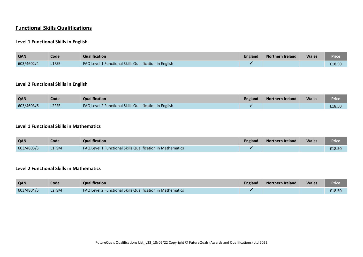# **Functional Skills Qualifications**

#### **Level 1 Functional Skills in English**

| QAN        | Code         | Qualification                                                 | <b>England</b> | <b>Northern Ireland</b> | <b>Wales</b> | Price  |
|------------|--------------|---------------------------------------------------------------|----------------|-------------------------|--------------|--------|
| 603/4602/4 | <b>L1FSE</b> | <b>FAQ Level 1 Functional Skills Qualification in English</b> |                |                         |              | £18.50 |

#### **Level 2 Functional Skills in English**

| <b>QAN</b> | Code         | Qualification                                          | <b>England</b> | Northern Ireland | <b>Wales</b> | Price  |
|------------|--------------|--------------------------------------------------------|----------------|------------------|--------------|--------|
| 603/4603/6 | <b>L2FSE</b> | FAQ Level 2 Functional Skills Qualification in English |                |                  |              | £18.50 |

#### **Level 1 Functional Skills in Mathematics**

| <b>QAN</b> | Code  | <b>Qualification</b>                                       | England | Northern Ireland | <b>Wales</b> | <b>Price</b> |
|------------|-------|------------------------------------------------------------|---------|------------------|--------------|--------------|
| 603/4803/3 | L1FSM | FAQ Level 1 Functional Skills Qualification in Mathematics |         |                  |              | £18.50       |

#### **Level 2 Functional Skills in Mathematics**

| <b>QAN</b> | Code  | <b>Qualification</b>                                              | <b>England</b> | <b>Northern Ireland</b> | <b>Wales</b> | Price  |
|------------|-------|-------------------------------------------------------------------|----------------|-------------------------|--------------|--------|
| 603/4804/5 | L2FSM | <b>FAQ Level 2 Functional Skills Qualification in Mathematics</b> |                |                         |              | £18.50 |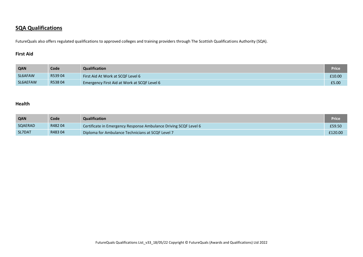## **SQA Qualifications**

FutureQuals also offers regulated qualifications to approved colleges and training providers through The Scottish Qualifications Authority (SQA).

#### **First Aid**

| QAN      | Code   | Qualification                               | Price  |
|----------|--------|---------------------------------------------|--------|
| SL6AFAW  | R53904 | First Aid At Work at SCQF Level 6           | £10.00 |
| SL6AEFAW | R53804 | Emergency First Aid at Work at SCQF Level 6 | £5.00  |

#### **Health**

| QAN     | Code   | Qualification                                                    | Price   |
|---------|--------|------------------------------------------------------------------|---------|
| SQAERAD | R48204 | Certificate in Emergency Response Ambulance Driving SCQF Level 6 | £59.50  |
| SL7DAT  | R48304 | Diploma for Ambulance Technicians at SCQF Level 7                | £120.00 |